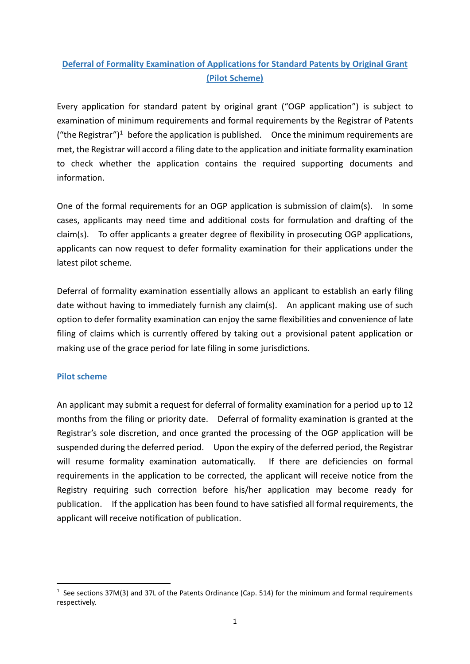# **Deferral of Formality Examination of Applications for Standard Patents by Original Grant (Pilot Scheme)**

Every application for standard patent by original grant ("OGP application") is subject to examination of minimum requirements and formal requirements by the Registrar of Patents ("the Registrar")<sup>1</sup> before the application is published. Once the minimum requirements are met, the Registrar will accord a filing date to the application and initiate formality examination to check whether the application contains the required supporting documents and information.

One of the formal requirements for an OGP application is submission of claim(s). In some cases, applicants may need time and additional costs for formulation and drafting of the claim(s). To offer applicants a greater degree of flexibility in prosecuting OGP applications, applicants can now request to defer formality examination for their applications under the latest pilot scheme.

Deferral of formality examination essentially allows an applicant to establish an early filing date without having to immediately furnish any claim(s). An applicant making use of such option to defer formality examination can enjoy the same flexibilities and convenience of late filing of claims which is currently offered by taking out a provisional patent application or making use of the grace period for late filing in some jurisdictions.

## **Pilot scheme**

-

An applicant may submit a request for deferral of formality examination for a period up to 12 months from the filing or priority date. Deferral of formality examination is granted at the Registrar's sole discretion, and once granted the processing of the OGP application will be suspended during the deferred period. Upon the expiry of the deferred period, the Registrar will resume formality examination automatically. If there are deficiencies on formal requirements in the application to be corrected, the applicant will receive notice from the Registry requiring such correction before his/her application may become ready for publication. If the application has been found to have satisfied all formal requirements, the applicant will receive notification of publication.

<sup>&</sup>lt;sup>1</sup> See sections 37M(3) and 37L of the Patents Ordinance (Cap. 514) for the minimum and formal requirements respectively.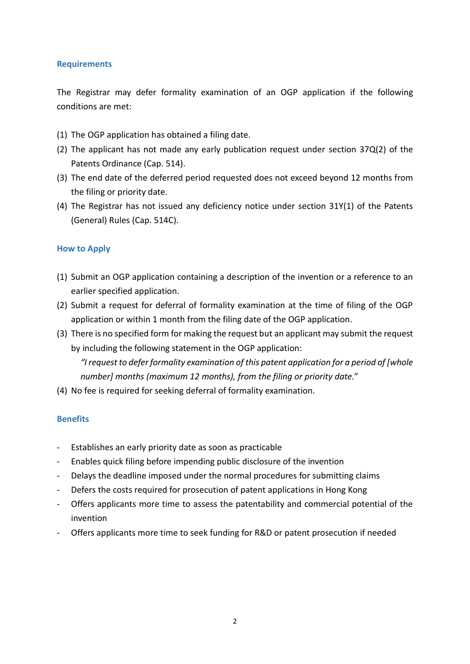#### **Requirements**

The Registrar may defer formality examination of an OGP application if the following conditions are met:

- (1) The OGP application has obtained a filing date.
- (2) The applicant has not made any early publication request under section 37Q(2) of the Patents Ordinance (Cap. 514).
- (3) The end date of the deferred period requested does not exceed beyond 12 months from the filing or priority date.
- (4) The Registrar has not issued any deficiency notice under section 31Y(1) of the Patents (General) Rules (Cap. 514C).

### **How to Apply**

- (1) Submit an OGP application containing a description of the invention or a reference to an earlier specified application.
- (2) Submit a request for deferral of formality examination at the time of filing of the OGP application or within 1 month from the filing date of the OGP application.
- (3) There is no specified form for making the request but an applicant may submit the request by including the following statement in the OGP application:

*"I request to defer formality examination of this patent application for a period of [whole number] months (maximum 12 months), from the filing or priority date."* 

(4) No fee is required for seeking deferral of formality examination.

#### **Benefits**

- Establishes an early priority date as soon as practicable
- Enables quick filing before impending public disclosure of the invention
- Delays the deadline imposed under the normal procedures for submitting claims
- Defers the costs required for prosecution of patent applications in Hong Kong
- Offers applicants more time to assess the patentability and commercial potential of the invention
- Offers applicants more time to seek funding for R&D or patent prosecution if needed